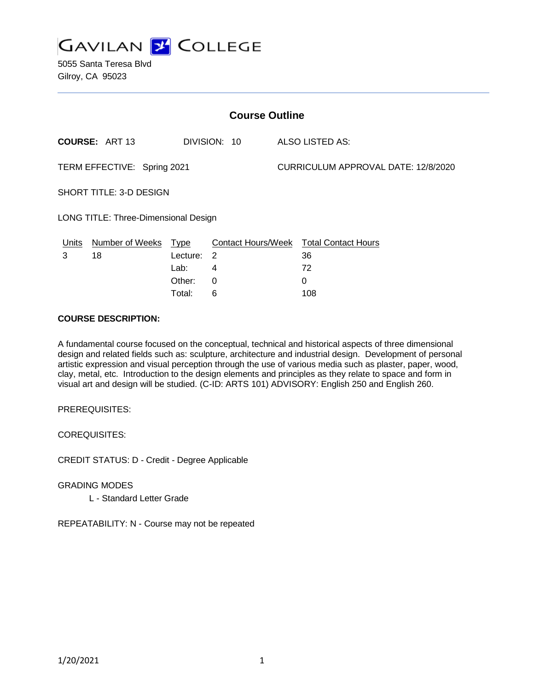

5055 Santa Teresa Blvd Gilroy, CA 95023

| <b>Course Outline</b>                |                        |             |              |  |                                        |  |
|--------------------------------------|------------------------|-------------|--------------|--|----------------------------------------|--|
|                                      | <b>COURSE: ART 13</b>  |             | DIVISION: 10 |  | ALSO LISTED AS:                        |  |
| TERM EFFECTIVE: Spring 2021          |                        |             |              |  | CURRICULUM APPROVAL DATE: 12/8/2020    |  |
| SHORT TITLE: 3-D DESIGN              |                        |             |              |  |                                        |  |
| LONG TITLE: Three-Dimensional Design |                        |             |              |  |                                        |  |
| Units                                | <b>Number of Weeks</b> | <b>Type</b> |              |  | Contact Hours/Week Total Contact Hours |  |
| 3                                    | 18                     | Lecture: 2  |              |  | 36                                     |  |
|                                      |                        | Lab:        | 4            |  | 72                                     |  |
|                                      |                        | Other:      | 0            |  | 0                                      |  |

## **COURSE DESCRIPTION:**

A fundamental course focused on the conceptual, technical and historical aspects of three dimensional design and related fields such as: sculpture, architecture and industrial design. Development of personal artistic expression and visual perception through the use of various media such as plaster, paper, wood, clay, metal, etc. Introduction to the design elements and principles as they relate to space and form in visual art and design will be studied. (C-ID: ARTS 101) ADVISORY: English 250 and English 260.

Total: 6 108

PREREQUISITES:

COREQUISITES:

CREDIT STATUS: D - Credit - Degree Applicable

GRADING MODES L - Standard Letter Grade

REPEATABILITY: N - Course may not be repeated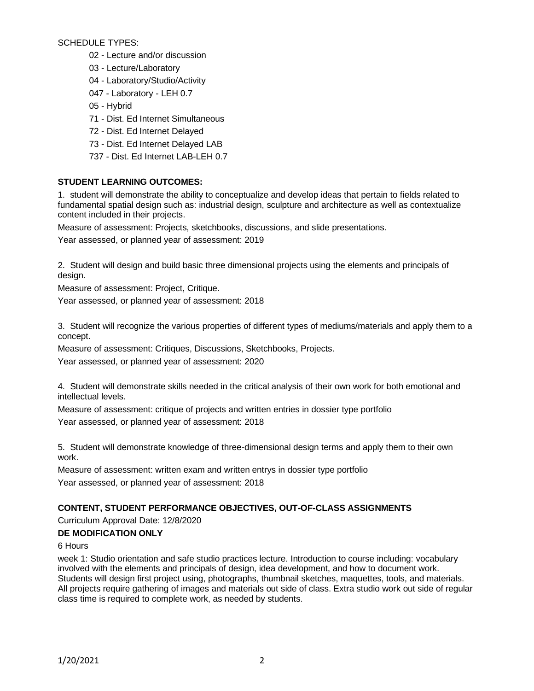SCHEDULE TYPES:

- 02 Lecture and/or discussion
- 03 Lecture/Laboratory
- 04 Laboratory/Studio/Activity
- 047 Laboratory LEH 0.7
- 05 Hybrid
- 71 Dist. Ed Internet Simultaneous
- 72 Dist. Ed Internet Delayed
- 73 Dist. Ed Internet Delayed LAB
- 737 Dist. Ed Internet LAB-LEH 0.7

# **STUDENT LEARNING OUTCOMES:**

1. student will demonstrate the ability to conceptualize and develop ideas that pertain to fields related to fundamental spatial design such as: industrial design, sculpture and architecture as well as contextualize content included in their projects.

Measure of assessment: Projects, sketchbooks, discussions, and slide presentations.

Year assessed, or planned year of assessment: 2019

2. Student will design and build basic three dimensional projects using the elements and principals of design.

Measure of assessment: Project, Critique.

Year assessed, or planned year of assessment: 2018

3. Student will recognize the various properties of different types of mediums/materials and apply them to a concept.

Measure of assessment: Critiques, Discussions, Sketchbooks, Projects.

Year assessed, or planned year of assessment: 2020

4. Student will demonstrate skills needed in the critical analysis of their own work for both emotional and intellectual levels.

Measure of assessment: critique of projects and written entries in dossier type portfolio Year assessed, or planned year of assessment: 2018

5. Student will demonstrate knowledge of three-dimensional design terms and apply them to their own work.

Measure of assessment: written exam and written entrys in dossier type portfolio Year assessed, or planned year of assessment: 2018

# **CONTENT, STUDENT PERFORMANCE OBJECTIVES, OUT-OF-CLASS ASSIGNMENTS**

Curriculum Approval Date: 12/8/2020

# **DE MODIFICATION ONLY**

# 6 Hours

week 1: Studio orientation and safe studio practices lecture. Introduction to course including: vocabulary involved with the elements and principals of design, idea development, and how to document work. Students will design first project using, photographs, thumbnail sketches, maquettes, tools, and materials. All projects require gathering of images and materials out side of class. Extra studio work out side of regular class time is required to complete work, as needed by students.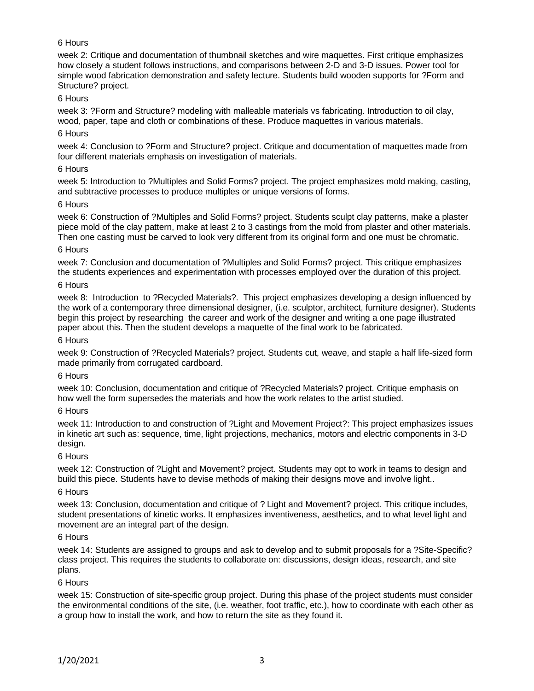# 6 Hours

week 2: Critique and documentation of thumbnail sketches and wire maquettes. First critique emphasizes how closely a student follows instructions, and comparisons between 2-D and 3-D issues. Power tool for simple wood fabrication demonstration and safety lecture. Students build wooden supports for ?Form and Structure? project.

## 6 Hours

week 3: ?Form and Structure? modeling with malleable materials vs fabricating. Introduction to oil clay, wood, paper, tape and cloth or combinations of these. Produce maquettes in various materials.

## 6 Hours

week 4: Conclusion to ?Form and Structure? project. Critique and documentation of maquettes made from four different materials emphasis on investigation of materials.

#### 6 Hours

week 5: Introduction to ?Multiples and Solid Forms? project. The project emphasizes mold making, casting, and subtractive processes to produce multiples or unique versions of forms.

## 6 Hours

week 6: Construction of ?Multiples and Solid Forms? project. Students sculpt clay patterns, make a plaster piece mold of the clay pattern, make at least 2 to 3 castings from the mold from plaster and other materials. Then one casting must be carved to look very different from its original form and one must be chromatic.

## 6 Hours

week 7: Conclusion and documentation of ?Multiples and Solid Forms? project. This critique emphasizes the students experiences and experimentation with processes employed over the duration of this project.

# 6 Hours

week 8: Introduction to ?Recycled Materials?. This project emphasizes developing a design influenced by the work of a contemporary three dimensional designer, (i.e. sculptor, architect, furniture designer). Students begin this project by researching the career and work of the designer and writing a one page illustrated paper about this. Then the student develops a maquette of the final work to be fabricated.

## 6 Hours

week 9: Construction of ?Recycled Materials? project. Students cut, weave, and staple a half life-sized form made primarily from corrugated cardboard.

#### 6 Hours

week 10: Conclusion, documentation and critique of ?Recycled Materials? project. Critique emphasis on how well the form supersedes the materials and how the work relates to the artist studied.

#### 6 Hours

week 11: Introduction to and construction of ?Light and Movement Project?: This project emphasizes issues in kinetic art such as: sequence, time, light projections, mechanics, motors and electric components in 3-D design.

# 6 Hours

week 12: Construction of ?Light and Movement? project. Students may opt to work in teams to design and build this piece. Students have to devise methods of making their designs move and involve light..

#### 6 Hours

week 13: Conclusion, documentation and critique of ? Light and Movement? project. This critique includes, student presentations of kinetic works. It emphasizes inventiveness, aesthetics, and to what level light and movement are an integral part of the design.

#### 6 Hours

week 14: Students are assigned to groups and ask to develop and to submit proposals for a ?Site-Specific? class project. This requires the students to collaborate on: discussions, design ideas, research, and site plans.

#### 6 Hours

week 15: Construction of site-specific group project. During this phase of the project students must consider the environmental conditions of the site, (i.e. weather, foot traffic, etc.), how to coordinate with each other as a group how to install the work, and how to return the site as they found it.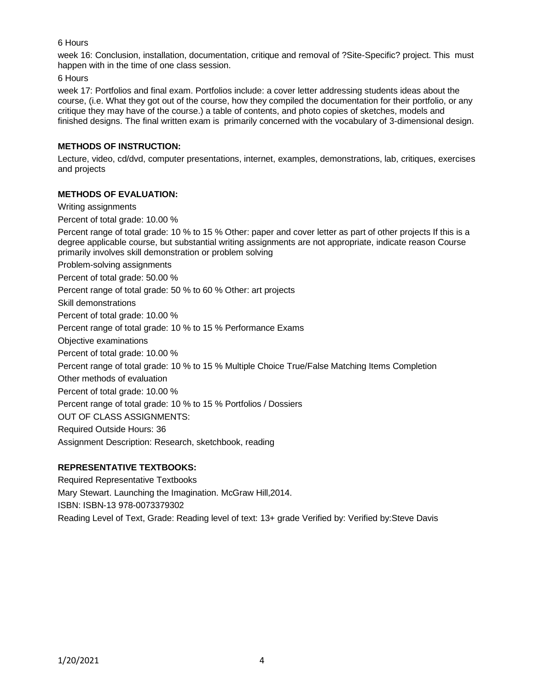# 6 Hours

week 16: Conclusion, installation, documentation, critique and removal of ?Site-Specific? project. This must happen with in the time of one class session.

6 Hours

week 17: Portfolios and final exam. Portfolios include: a cover letter addressing students ideas about the course, (i.e. What they got out of the course, how they compiled the documentation for their portfolio, or any critique they may have of the course.) a table of contents, and photo copies of sketches, models and finished designs. The final written exam is primarily concerned with the vocabulary of 3-dimensional design.

# **METHODS OF INSTRUCTION:**

Lecture, video, cd/dvd, computer presentations, internet, examples, demonstrations, lab, critiques, exercises and projects

# **METHODS OF EVALUATION:**

Writing assignments

Percent of total grade: 10.00 %

Percent range of total grade: 10 % to 15 % Other: paper and cover letter as part of other projects If this is a degree applicable course, but substantial writing assignments are not appropriate, indicate reason Course primarily involves skill demonstration or problem solving

Problem-solving assignments

Percent of total grade: 50.00 %

Percent range of total grade: 50 % to 60 % Other: art projects

Skill demonstrations

Percent of total grade: 10.00 %

Percent range of total grade: 10 % to 15 % Performance Exams

Objective examinations

Percent of total grade: 10.00 %

Percent range of total grade: 10 % to 15 % Multiple Choice True/False Matching Items Completion

Other methods of evaluation

Percent of total grade: 10.00 %

Percent range of total grade: 10 % to 15 % Portfolios / Dossiers

OUT OF CLASS ASSIGNMENTS:

Required Outside Hours: 36

Assignment Description: Research, sketchbook, reading

# **REPRESENTATIVE TEXTBOOKS:**

Required Representative Textbooks Mary Stewart. Launching the Imagination. McGraw Hill,2014.

ISBN: ISBN-13 978-0073379302

Reading Level of Text, Grade: Reading level of text: 13+ grade Verified by: Verified by:Steve Davis